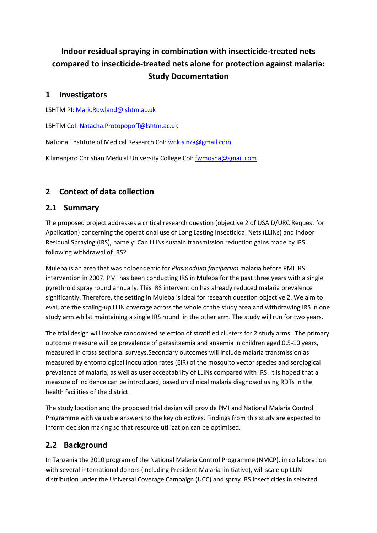# **Indoor residual spraying in combination with insecticide-treated nets compared to insecticide-treated nets alone for protection against malaria: Study Documentation**

#### **1 Investigators**

LSHTM PI[: Mark.Rowland@lshtm.ac.uk](mailto:Mark.Rowland@lshtm.ac.uk)

LSHTM CoI[: Natacha.Protopopoff@lshtm.ac.uk](mailto:Natacha.Protopopoff@lshtm.ac.uk)

National Institute of Medical Research CoI: [wnkisinza@gmail.com](mailto:wnkisinza@gmail.com)

Kilimanjaro Christian Medical University College CoI: [fwmosha@gmail.com](mailto:fwmosha@gmail.com)

## **2 Context of data collection**

#### **2.1 Summary**

The proposed project addresses a critical research question (objective 2 of USAID/URC Request for Application) concerning the operational use of Long Lasting Insecticidal Nets (LLINs) and Indoor Residual Spraying (IRS), namely: Can LLINs sustain transmission reduction gains made by IRS following withdrawal of IRS?

Muleba is an area that was holoendemic for *Plasmodium falciparum* malaria before PMI IRS intervention in 2007. PMI has been conducting IRS in Muleba for the past three years with a single pyrethroid spray round annually. This IRS intervention has already reduced malaria prevalence significantly. Therefore, the setting in Muleba is ideal for research question objective 2. We aim to evaluate the scaling-up LLIN coverage across the whole of the study area and withdrawing IRS in one study arm whilst maintaining a single IRS round in the other arm. The study will run for two years.

The trial design will involve randomised selection of stratified clusters for 2 study arms. The primary outcome measure will be prevalence of parasitaemia and anaemia in children aged 0.5-10 years, measured in cross sectional surveys.Secondary outcomes will include malaria transmission as measured by entomological inoculation rates (EIR) of the mosquito vector species and serological prevalence of malaria, as well as user acceptability of LLINs compared with IRS. It is hoped that a measure of incidence can be introduced, based on clinical malaria diagnosed using RDTs in the health facilities of the district.

The study location and the proposed trial design will provide PMI and National Malaria Control Programme with valuable answers to the key objectives. Findings from this study are expected to inform decision making so that resource utilization can be optimised.

## **2.2 Background**

In Tanzania the 2010 program of the National Malaria Control Programme (NMCP), in collaboration with several international donors (including President Malaria Iinitiative), will scale up LLIN distribution under the Universal Coverage Campaign (UCC) and spray IRS insecticides in selected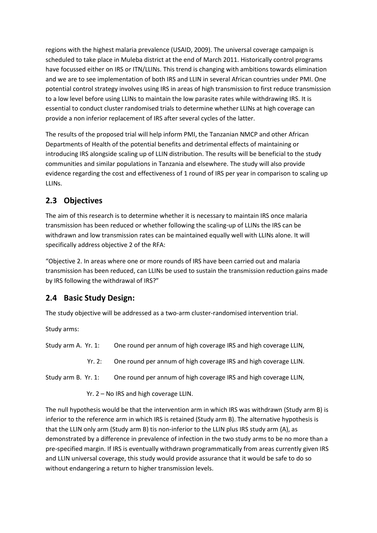regions with the highest malaria prevalence (USAID, 2009). The universal coverage campaign is scheduled to take place in Muleba district at the end of March 2011. Historically control programs have focussed either on IRS or ITN/LLINs. This trend is changing with ambitions towards elimination and we are to see implementation of both IRS and LLIN in several African countries under PMI. One potential control strategy involves using IRS in areas of high transmission to first reduce transmission to a low level before using LLINs to maintain the low parasite rates while withdrawing IRS. It is essential to conduct cluster randomised trials to determine whether LLINs at high coverage can provide a non inferior replacement of IRS after several cycles of the latter.

The results of the proposed trial will help inform PMI, the Tanzanian NMCP and other African Departments of Health of the potential benefits and detrimental effects of maintaining or introducing IRS alongside scaling up of LLIN distribution. The results will be beneficial to the study communities and similar populations in Tanzania and elsewhere. The study will also provide evidence regarding the cost and effectiveness of 1 round of IRS per year in comparison to scaling up LLINs.

## **2.3 Objectives**

The aim of this research is to determine whether it is necessary to maintain IRS once malaria transmission has been reduced or whether following the scaling-up of LLINs the IRS can be withdrawn and low transmission rates can be maintained equally well with LLINs alone. It will specifically address objective 2 of the RFA:

"Objective 2. In areas where one or more rounds of IRS have been carried out and malaria transmission has been reduced, can LLINs be used to sustain the transmission reduction gains made by IRS following the withdrawal of IRS?"

## **2.4 Basic Study Design:**

The study objective will be addressed as a two-arm cluster-randomised intervention trial.

Study arms:

Study arm A. Yr. 1: One round per annum of high coverage IRS and high coverage LLIN,

Yr. 2: One round per annum of high coverage IRS and high coverage LLIN.

Study arm B. Yr. 1: One round per annum of high coverage IRS and high coverage LLIN,

Yr. 2 – No IRS and high coverage LLIN.

The null hypothesis would be that the intervention arm in which IRS was withdrawn (Study arm B) is inferior to the reference arm in which IRS is retained (Study arm B). The alternative hypothesis is that the LLIN only arm (Study arm B) tis non-inferior to the LLIN plus IRS study arm (A), as demonstrated by a difference in prevalence of infection in the two study arms to be no more than a pre-specified margin. If IRS is eventually withdrawn programmatically from areas currently given IRS and LLIN universal coverage, this study would provide assurance that it would be safe to do so without endangering a return to higher transmission levels.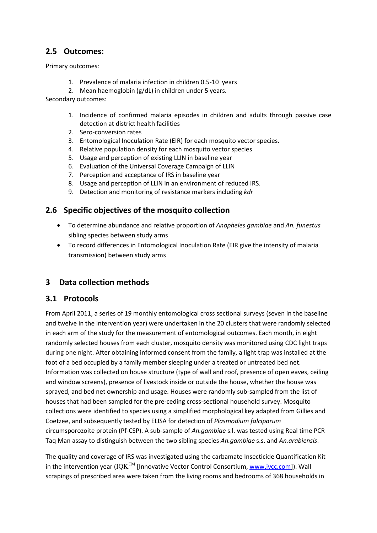#### **2.5 Outcomes:**

Primary outcomes:

- 1. Prevalence of malaria infection in children 0.5-10 years
- 2. Mean haemoglobin (g/dL) in children under 5 years.

Secondary outcomes:

- 1. Incidence of confirmed malaria episodes in children and adults through passive case detection at district health facilities
- 2. Sero-conversion rates
- 3. Entomological Inoculation Rate (EIR) for each mosquito vector species.
- 4. Relative population density for each mosquito vector species
- 5. Usage and perception of existing LLIN in baseline year
- 6. Evaluation of the Universal Coverage Campaign of LLIN
- 7. Perception and acceptance of IRS in baseline year
- 8. Usage and perception of LLIN in an environment of reduced IRS.
- 9. Detection and monitoring of resistance markers including *kdr*

#### **2.6 Specific objectives of the mosquito collection**

- To determine abundance and relative proportion of *Anopheles gambiae* and *An. funestus* sibling species between study arms
- To record differences in Entomological Inoculation Rate (EIR give the intensity of malaria transmission) between study arms

#### **3 Data collection methods**

#### **3.1 Protocols**

From April 2011, a series of 19 monthly entomological cross sectional surveys (seven in the baseline and twelve in the intervention year) were undertaken in the 20 clusters that were randomly selected in each arm of the study for the measurement of entomological outcomes. Each month, in eight randomly selected houses from each cluster, mosquito density was monitored using CDC light traps during one night. After obtaining informed consent from the family, a light trap was installed at the foot of a bed occupied by a family member sleeping under a treated or untreated bed net. Information was collected on house structure (type of wall and roof, presence of open eaves, ceiling and window screens), presence of livestock inside or outside the house, whether the house was sprayed, and bed net ownership and usage. Houses were randomly sub-sampled from the list of houses that had been sampled for the pre-ceding cross-sectional household survey. Mosquito collections were identified to species using a simplified morphological key adapted from Gillies and Coetzee, and subsequently tested by ELISA for detection of *Plasmodium falciparum*  circumsporozoite protein (Pf-CSP). A sub-sample of *An.gambiae* s.l. was tested using Real time PCR Taq Man assay to distinguish between the two sibling species *An.gambiae* s.s. and *An.arabiensis*.

The quality and coverage of IRS was investigated using the carbamate Insecticide Quantification Kit in the intervention year ( $IQK^{TM}$  [Innovative Vector Control Consortium,  $www.ivcc.com$ ]). Wall scrapings of prescribed area were taken from the living rooms and bedrooms of 368 households in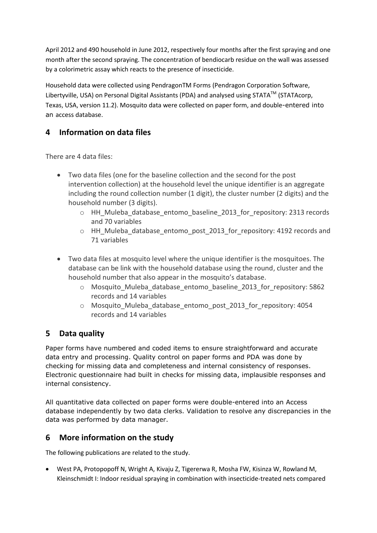April 2012 and 490 household in June 2012, respectively four months after the first spraying and one month after the second spraying. The concentration of bendiocarb residue on the wall was assessed by a colorimetric assay which reacts to the presence of insecticide.

Household data were collected using PendragonTM Forms (Pendragon Corporation Software, Libertyville, USA) on Personal Digital Assistants (PDA) and analysed using STATA™ (STATAcorp, Texas, USA, version 11.2). Mosquito data were collected on paper form, and double-entered into an access database.

### **4 Information on data files**

There are 4 data files:

- Two data files (one for the baseline collection and the second for the post intervention collection) at the household level the unique identifier is an aggregate including the round collection number (1 digit), the cluster number (2 digits) and the household number (3 digits).
	- o HH\_Muleba\_database\_entomo\_baseline\_2013\_for\_repository: 2313 records and 70 variables
	- o HH\_Muleba\_database\_entomo\_post\_2013\_for\_repository: 4192 records and 71 variables
- Two data files at mosquito level where the unique identifier is the mosquitoes. The database can be link with the household database using the round, cluster and the household number that also appear in the mosquito's database.
	- o Mosquito\_Muleba\_database\_entomo\_baseline\_2013\_for\_repository: 5862 records and 14 variables
	- o Mosquito\_Muleba\_database\_entomo\_post\_2013\_for\_repository: 4054 records and 14 variables

## **5 Data quality**

Paper forms have numbered and coded items to ensure straightforward and accurate data entry and processing. Quality control on paper forms and PDA was done by checking for missing data and completeness and internal consistency of responses. Electronic questionnaire had built in checks for missing data, implausible responses and internal consistency.

All quantitative data collected on paper forms were double-entered into an Access database independently by two data clerks. Validation to resolve any discrepancies in the data was performed by data manager.

#### **6 More information on the study**

The following publications are related to the study.

 West PA, Protopopoff N, Wright A, Kivaju Z, Tigererwa R, Mosha FW, Kisinza W, Rowland M, Kleinschmidt I: Indoor residual spraying in combination with insecticide-treated nets compared